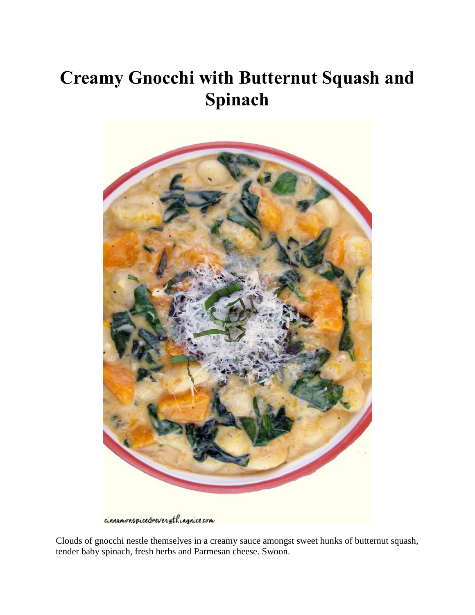## **Creamy Gnocchi with Butternut Squash and Spinach**



cinnamonspice&everythingnice com

Clouds of gnocchi nestle themselves in a creamy sauce amongst sweet hunks of butternut squash, tender baby spinach, fresh herbs and Parmesan cheese. Swoon.